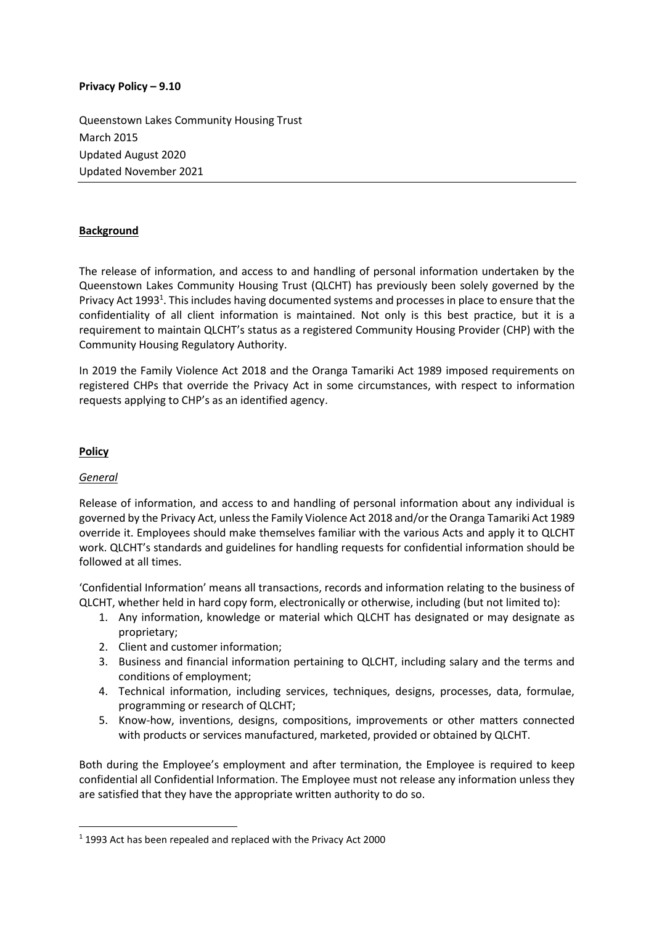### **Privacy Policy – 9.10**

Queenstown Lakes Community Housing Trust March 2015 Updated August 2020 Updated November 2021

## **Background**

The release of information, and access to and handling of personal information undertaken by the Queenstown Lakes Community Housing Trust (QLCHT) has previously been solely governed by the Privacy Act 1993<sup>1</sup>. This includes having documented systems and processes in place to ensure that the confidentiality of all client information is maintained. Not only is this best practice, but it is a requirement to maintain QLCHT's status as a registered Community Housing Provider (CHP) with the Community Housing Regulatory Authority.

In 2019 the Family Violence Act 2018 and the Oranga Tamariki Act 1989 imposed requirements on registered CHPs that override the Privacy Act in some circumstances, with respect to information requests applying to CHP's as an identified agency.

### **Policy**

### *General*

**.** 

Release of information, and access to and handling of personal information about any individual is governed by the Privacy Act, unless the Family Violence Act 2018 and/or the Oranga Tamariki Act 1989 override it. Employees should make themselves familiar with the various Acts and apply it to QLCHT work. QLCHT's standards and guidelines for handling requests for confidential information should be followed at all times.

'Confidential Information' means all transactions, records and information relating to the business of QLCHT, whether held in hard copy form, electronically or otherwise, including (but not limited to):

- 1. Any information, knowledge or material which QLCHT has designated or may designate as proprietary;
- 2. Client and customer information;
- 3. Business and financial information pertaining to QLCHT, including salary and the terms and conditions of employment;
- 4. Technical information, including services, techniques, designs, processes, data, formulae, programming or research of QLCHT;
- 5. Know-how, inventions, designs, compositions, improvements or other matters connected with products or services manufactured, marketed, provided or obtained by QLCHT.

Both during the Employee's employment and after termination, the Employee is required to keep confidential all Confidential Information. The Employee must not release any information unless they are satisfied that they have the appropriate written authority to do so.

<sup>1</sup> 1993 Act has been repealed and replaced with the Privacy Act 2000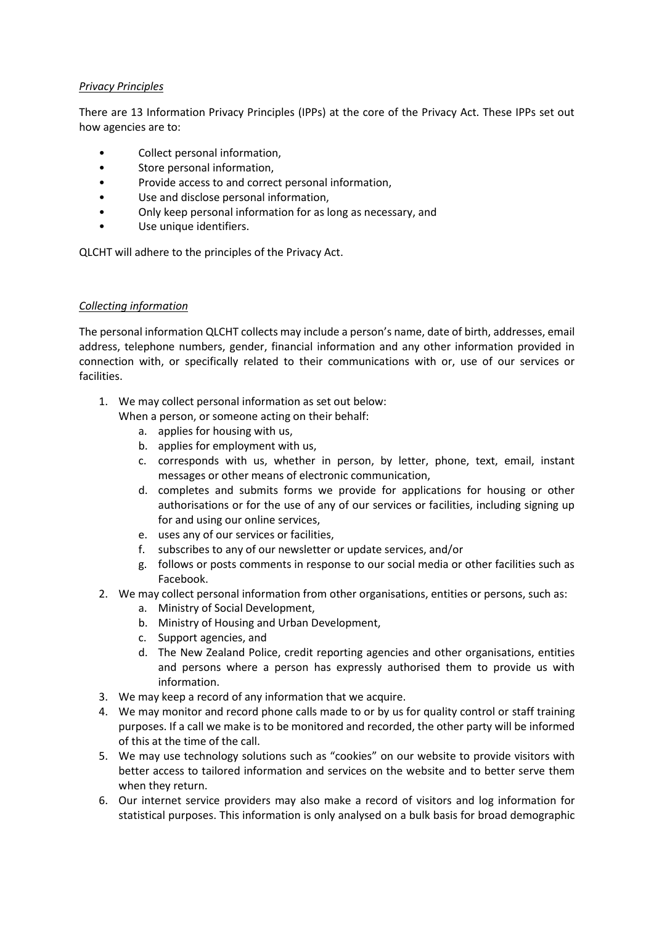## *Privacy Principles*

There are 13 Information Privacy Principles (IPPs) at the core of the Privacy Act. These IPPs set out how agencies are to:

- Collect personal information,
- Store personal information,
- Provide access to and correct personal information,
- Use and disclose personal information,
- Only keep personal information for as long as necessary, and
- Use unique identifiers.

QLCHT will adhere to the principles of the Privacy Act.

## *Collecting information*

The personal information QLCHT collects may include a person's name, date of birth, addresses, email address, telephone numbers, gender, financial information and any other information provided in connection with, or specifically related to their communications with or, use of our services or facilities.

1. We may collect personal information as set out below:

When a person, or someone acting on their behalf:

- a. applies for housing with us,
- b. applies for employment with us,
- c. corresponds with us, whether in person, by letter, phone, text, email, instant messages or other means of electronic communication,
- d. completes and submits forms we provide for applications for housing or other authorisations or for the use of any of our services or facilities, including signing up for and using our online services,
- e. uses any of our services or facilities,
- f. subscribes to any of our newsletter or update services, and/or
- g. follows or posts comments in response to our social media or other facilities such as Facebook.
- 2. We may collect personal information from other organisations, entities or persons, such as:
	- a. Ministry of Social Development,
	- b. Ministry of Housing and Urban Development,
	- c. Support agencies, and
	- d. The New Zealand Police, credit reporting agencies and other organisations, entities and persons where a person has expressly authorised them to provide us with information.
- 3. We may keep a record of any information that we acquire.
- 4. We may monitor and record phone calls made to or by us for quality control or staff training purposes. If a call we make is to be monitored and recorded, the other party will be informed of this at the time of the call.
- 5. We may use technology solutions such as "cookies" on our website to provide visitors with better access to tailored information and services on the website and to better serve them when they return.
- 6. Our internet service providers may also make a record of visitors and log information for statistical purposes. This information is only analysed on a bulk basis for broad demographic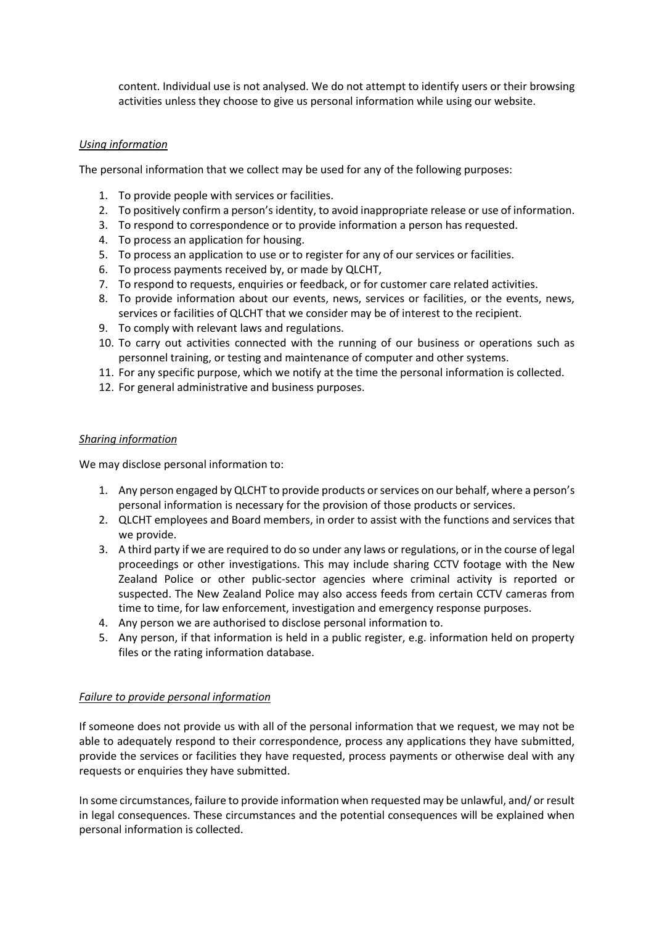content. Individual use is not analysed. We do not attempt to identify users or their browsing activities unless they choose to give us personal information while using our website.

### *Using information*

The personal information that we collect may be used for any of the following purposes:

- 1. To provide people with services or facilities.
- 2. To positively confirm a person's identity, to avoid inappropriate release or use of information.
- 3. To respond to correspondence or to provide information a person has requested.
- 4. To process an application for housing.
- 5. To process an application to use or to register for any of our services or facilities.
- 6. To process payments received by, or made by QLCHT,
- 7. To respond to requests, enquiries or feedback, or for customer care related activities.
- 8. To provide information about our events, news, services or facilities, or the events, news, services or facilities of QLCHT that we consider may be of interest to the recipient.
- 9. To comply with relevant laws and regulations.
- 10. To carry out activities connected with the running of our business or operations such as personnel training, or testing and maintenance of computer and other systems.
- 11. For any specific purpose, which we notify at the time the personal information is collected.
- 12. For general administrative and business purposes.

### *Sharing information*

We may disclose personal information to:

- 1. Any person engaged by QLCHT to provide products or services on our behalf, where a person's personal information is necessary for the provision of those products or services.
- 2. QLCHT employees and Board members, in order to assist with the functions and services that we provide.
- 3. A third party if we are required to do so under any laws or regulations, or in the course of legal proceedings or other investigations. This may include sharing CCTV footage with the New Zealand Police or other public-sector agencies where criminal activity is reported or suspected. The New Zealand Police may also access feeds from certain CCTV cameras from time to time, for law enforcement, investigation and emergency response purposes.
- 4. Any person we are authorised to disclose personal information to.
- 5. Any person, if that information is held in a public register, e.g. information held on property files or the rating information database.

# *Failure to provide personal information*

If someone does not provide us with all of the personal information that we request, we may not be able to adequately respond to their correspondence, process any applications they have submitted, provide the services or facilities they have requested, process payments or otherwise deal with any requests or enquiries they have submitted.

In some circumstances, failure to provide information when requested may be unlawful, and/ or result in legal consequences. These circumstances and the potential consequences will be explained when personal information is collected.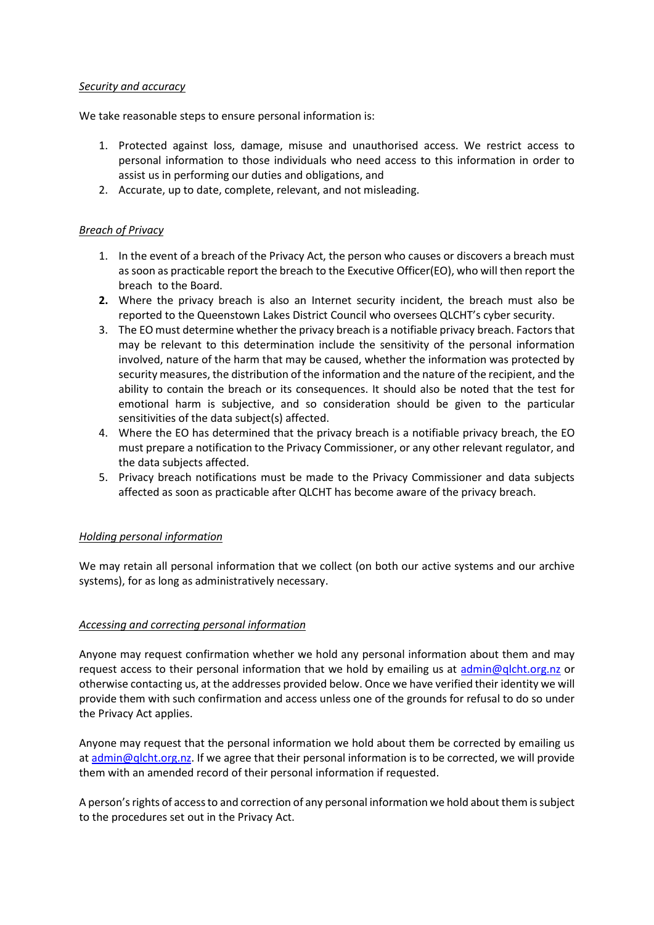### *Security and accuracy*

We take reasonable steps to ensure personal information is:

- 1. Protected against loss, damage, misuse and unauthorised access. We restrict access to personal information to those individuals who need access to this information in order to assist us in performing our duties and obligations, and
- 2. Accurate, up to date, complete, relevant, and not misleading.

### *Breach of Privacy*

- 1. In the event of a breach of the Privacy Act, the person who causes or discovers a breach must as soon as practicable report the breach to the Executive Officer(EO), who will then report the breach to the Board.
- **2.** Where the privacy breach is also an Internet security incident, the breach must also be reported to the Queenstown Lakes District Council who oversees QLCHT's cyber security.
- 3. The EO must determine whether the privacy breach is a notifiable privacy breach. Factors that may be relevant to this determination include the sensitivity of the personal information involved, nature of the harm that may be caused, whether the information was protected by security measures, the distribution of the information and the nature of the recipient, and the ability to contain the breach or its consequences. It should also be noted that the test for emotional harm is subjective, and so consideration should be given to the particular sensitivities of the data subject(s) affected.
- 4. Where the EO has determined that the privacy breach is a notifiable privacy breach, the EO must prepare a notification to the Privacy Commissioner, or any other relevant regulator, and the data subjects affected.
- 5. Privacy breach notifications must be made to the Privacy Commissioner and data subjects affected as soon as practicable after QLCHT has become aware of the privacy breach.

### *Holding personal information*

We may retain all personal information that we collect (on both our active systems and our archive systems), for as long as administratively necessary.

### *Accessing and correcting personal information*

Anyone may request confirmation whether we hold any personal information about them and may request access to their personal information that we hold by emailing us at [admin@qlcht.org.nz](mailto:admin@qlcht.org.nz) or otherwise contacting us, at the addresses provided below. Once we have verified their identity we will provide them with such confirmation and access unless one of the grounds for refusal to do so under the Privacy Act applies.

Anyone may request that the personal information we hold about them be corrected by emailing us a[t admin@qlcht.org.nz.](mailto:admin@qlcht.org.nz) If we agree that their personal information is to be corrected, we will provide them with an amended record of their personal information if requested.

A person's rights of access to and correction of any personal information we hold about them is subject to the procedures set out in the Privacy Act.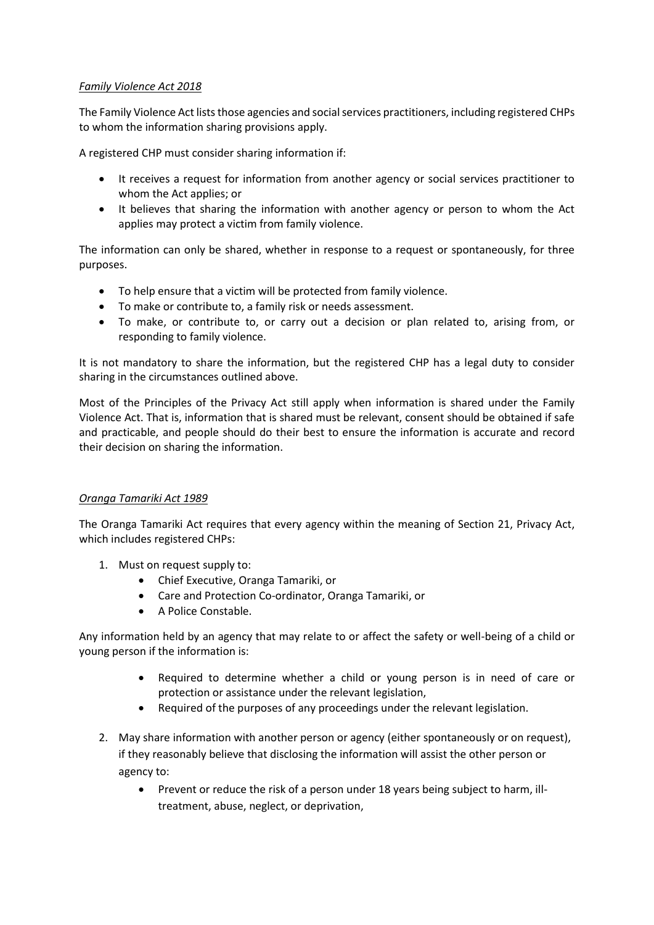## *Family Violence Act 2018*

The Family Violence Act lists those agencies and social services practitioners, including registered CHPs to whom the information sharing provisions apply.

A registered CHP must consider sharing information if:

- It receives a request for information from another agency or social services practitioner to whom the Act applies; or
- It believes that sharing the information with another agency or person to whom the Act applies may protect a victim from family violence.

The information can only be shared, whether in response to a request or spontaneously, for three purposes.

- To help ensure that a victim will be protected from family violence.
- To make or contribute to, a family risk or needs assessment.
- To make, or contribute to, or carry out a decision or plan related to, arising from, or responding to family violence.

It is not mandatory to share the information, but the registered CHP has a legal duty to consider sharing in the circumstances outlined above.

Most of the Principles of the Privacy Act still apply when information is shared under the Family Violence Act. That is, information that is shared must be relevant, consent should be obtained if safe and practicable, and people should do their best to ensure the information is accurate and record their decision on sharing the information.

### *Oranga Tamariki Act 1989*

The Oranga Tamariki Act requires that every agency within the meaning of Section 21, Privacy Act, which includes registered CHPs:

- 1. Must on request supply to:
	- Chief Executive, Oranga Tamariki, or
	- Care and Protection Co-ordinator, Oranga Tamariki, or
	- A Police Constable.

Any information held by an agency that may relate to or affect the safety or well-being of a child or young person if the information is:

- Required to determine whether a child or young person is in need of care or protection or assistance under the relevant legislation,
- Required of the purposes of any proceedings under the relevant legislation.
- 2. May share information with another person or agency (either spontaneously or on request), if they reasonably believe that disclosing the information will assist the other person or agency to:
	- Prevent or reduce the risk of a person under 18 years being subject to harm, illtreatment, abuse, neglect, or deprivation,